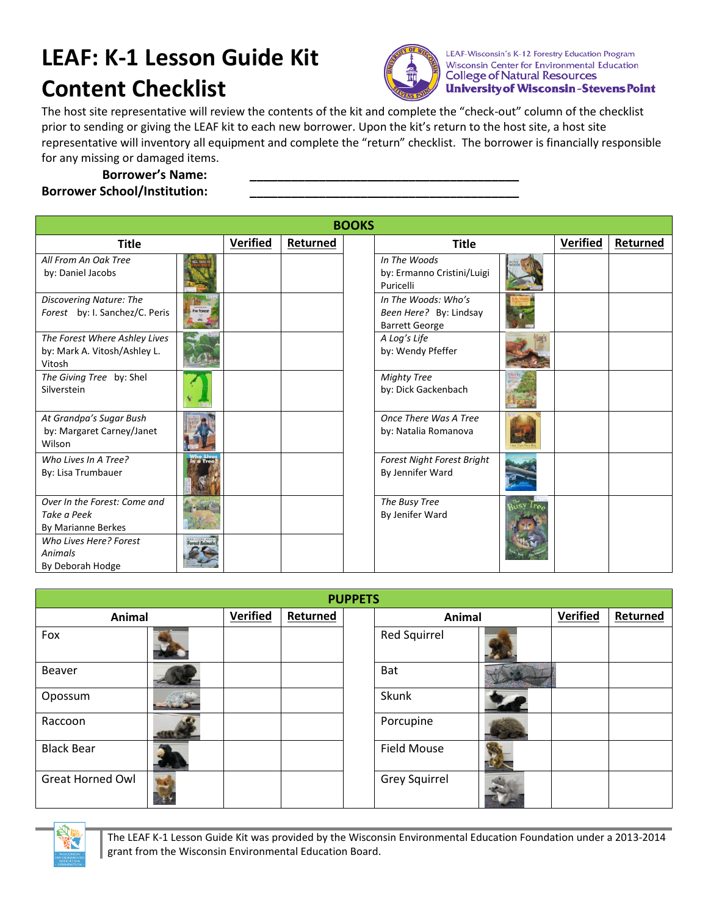## **LEAF: K-1 Lesson Guide Kit Content Checklist**



LEAF-Wisconsin's K-12 Forestry Education Program Wisconsin Center for Environmental Education **College of Natural Resources University of Wisconsin-Stevens Point** 

The host site representative will review the contents of the kit and complete the "check-out" column of the checklist prior to sending or giving the LEAF kit to each new borrower. Upon the kit's return to the host site, a host site representative will inventory all equipment and complete the "return" checklist. The borrower is financially responsible for any missing or damaged items.

## **Borrower's Name: \_\_\_\_\_\_\_\_\_\_\_\_\_\_\_\_\_\_\_\_\_\_\_\_\_\_\_\_\_\_\_\_\_\_\_\_\_\_\_ Borrower School/Institution:**

| <b>BOOKS</b>                                                            |           |                 |          |  |                                                                        |  |                 |          |
|-------------------------------------------------------------------------|-----------|-----------------|----------|--|------------------------------------------------------------------------|--|-----------------|----------|
| <b>Title</b>                                                            |           | <b>Verified</b> | Returned |  | <b>Title</b>                                                           |  | <b>Verified</b> | Returned |
| All From An Oak Tree<br>by: Daniel Jacobs                               |           |                 |          |  | In The Woods<br>by: Ermanno Cristini/Luigi<br>Puricelli                |  |                 |          |
| Discovering Nature: The<br>Forest by: I. Sanchez/C. Peris               |           |                 |          |  | In The Woods: Who's<br>Been Here? By: Lindsay<br><b>Barrett George</b> |  |                 |          |
| The Forest Where Ashley Lives<br>by: Mark A. Vitosh/Ashley L.<br>Vitosh |           |                 |          |  | A Log's Life<br>by: Wendy Pfeffer                                      |  |                 |          |
| The Giving Tree by: Shel<br>Silverstein                                 |           |                 |          |  | <b>Mighty Tree</b><br>by: Dick Gackenbach                              |  |                 |          |
| At Grandpa's Sugar Bush<br>by: Margaret Carney/Janet<br>Wilson          |           |                 |          |  | Once There Was A Tree<br>by: Natalia Romanova                          |  |                 |          |
| Who Lives In A Tree?<br>By: Lisa Trumbauer                              | in a Tree |                 |          |  | <b>Forest Night Forest Bright</b><br>By Jennifer Ward                  |  |                 |          |
| Over In the Forest: Come and<br>Take a Peek<br>By Marianne Berkes       |           |                 |          |  | The Busy Tree<br>By Jenifer Ward                                       |  |                 |          |
| Who Lives Here? Forest<br>Animals<br>By Deborah Hodge                   |           |                 |          |  |                                                                        |  |                 |          |

| <b>PUPPETS</b>          |  |          |          |  |                     |  |          |          |
|-------------------------|--|----------|----------|--|---------------------|--|----------|----------|
| Animal                  |  | Verified | Returned |  | Animal              |  | Verified | Returned |
| Fox                     |  |          |          |  | <b>Red Squirrel</b> |  |          |          |
| Beaver                  |  |          |          |  | Bat                 |  |          |          |
| Opossum                 |  |          |          |  | Skunk               |  |          |          |
| Raccoon                 |  |          |          |  | Porcupine           |  |          |          |
| <b>Black Bear</b>       |  |          |          |  | <b>Field Mouse</b>  |  |          |          |
| <b>Great Horned Owl</b> |  |          |          |  | Grey Squirrel       |  |          |          |



The LEAF K-1 Lesson Guide Kit was provided by the Wisconsin Environmental Education Foundation under a 2013-2014 grant from the Wisconsin Environmental Education Board.